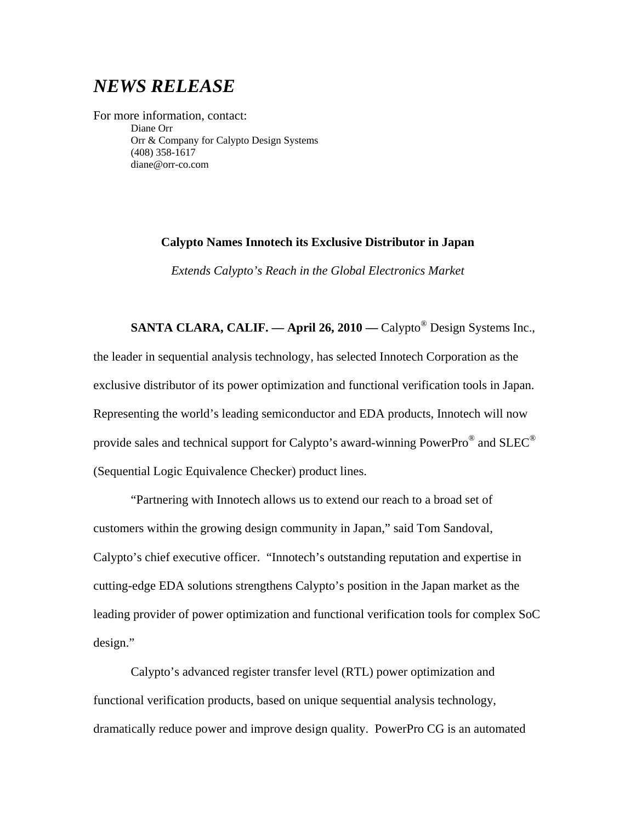# *NEWS RELEASE*

For more information, contact: Diane Orr Orr & Company for Calypto Design Systems (408) 358-1617 diane@orr-co.com

## **Calypto Names Innotech its Exclusive Distributor in Japan**

*Extends Calypto's Reach in the Global Electronics Market* 

**SANTA CLARA, CALIF. — April 26, 2010 — Calypto<sup>®</sup> Design Systems Inc.,** the leader in sequential analysis technology, has selected Innotech Corporation as the exclusive distributor of its power optimization and functional verification tools in Japan. Representing the world's leading semiconductor and EDA products, Innotech will now provide sales and technical support for Calypto's award-winning PowerPro® and SLEC® (Sequential Logic Equivalence Checker) product lines.

"Partnering with Innotech allows us to extend our reach to a broad set of customers within the growing design community in Japan," said Tom Sandoval, Calypto's chief executive officer. "Innotech's outstanding reputation and expertise in cutting-edge EDA solutions strengthens Calypto's position in the Japan market as the leading provider of power optimization and functional verification tools for complex SoC design."

Calypto's advanced register transfer level (RTL) power optimization and functional verification products, based on unique sequential analysis technology, dramatically reduce power and improve design quality. PowerPro CG is an automated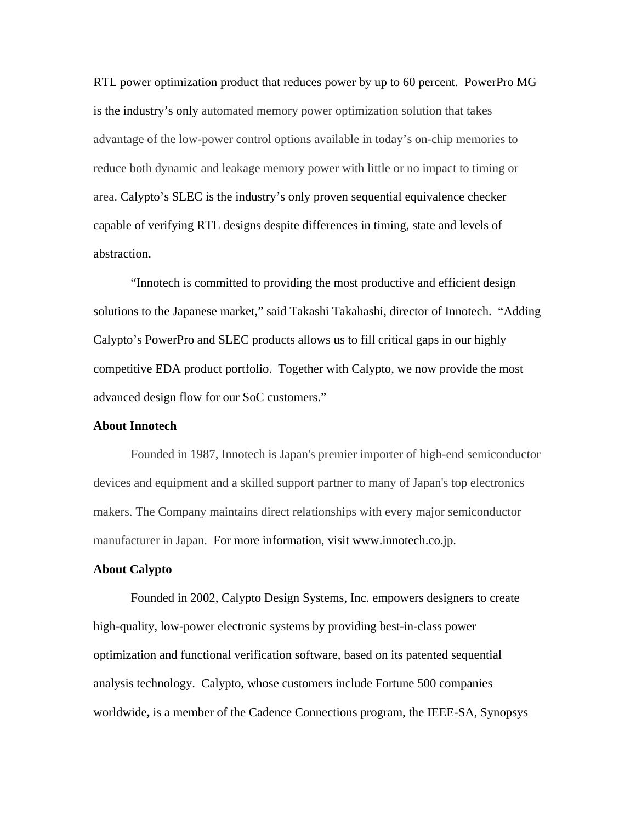RTL power optimization product that reduces power by up to 60 percent. PowerPro MG is the industry's only automated memory power optimization solution that takes advantage of the low-power control options available in today's on-chip memories to reduce both dynamic and leakage memory power with little or no impact to timing or area. Calypto's SLEC is the industry's only proven sequential equivalence checker capable of verifying RTL designs despite differences in timing, state and levels of abstraction.

"Innotech is committed to providing the most productive and efficient design solutions to the Japanese market," said Takashi Takahashi, director of Innotech. "Adding Calypto's PowerPro and SLEC products allows us to fill critical gaps in our highly competitive EDA product portfolio. Together with Calypto, we now provide the most advanced design flow for our SoC customers."

## **About Innotech**

Founded in 1987, Innotech is Japan's premier importer of high-end semiconductor devices and equipment and a skilled support partner to many of Japan's top electronics makers. The Company maintains direct relationships with every major semiconductor manufacturer in Japan. For more information, visit www.innotech.co.jp.

### **About Calypto**

Founded in 2002, Calypto Design Systems, Inc. empowers designers to create high-quality, low-power electronic systems by providing best-in-class power optimization and functional verification software, based on its patented sequential analysis technology. Calypto, whose customers include Fortune 500 companies worldwide**,** is a member of the Cadence Connections program, the IEEE-SA, Synopsys